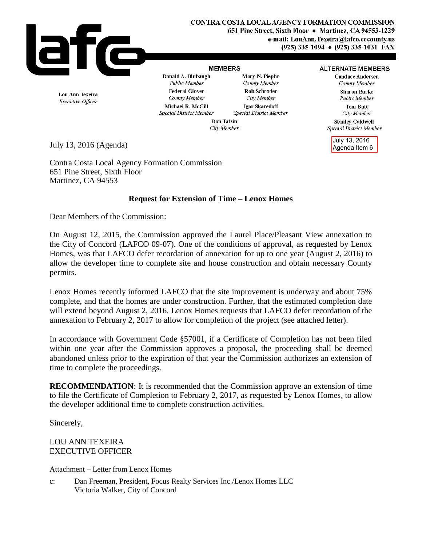

## **MEMBERS**

## Mary N. Piepho

**ALTERNATE MEMBERS Candace Andersen** County Member **Sharon Burke** Public Member

> **Tom Butt** City Member

**Stanley Caldwell** Special District Member

July 13, 2016 Agenda Item 6

Lou Ann Texeira Executive Officer

Public Member **Federal Glover** County Member Michael R. McGill Special District Member

Donald A. Blubaugh

County Member Rob Schroder City Member Igor Skaredoff Special District Member

Don Tatzin City Member

July 13, 2016 (Agenda)

Contra Costa Local Agency Formation Commission 651 Pine Street, Sixth Floor Martinez, CA 94553

## **Request for Extension of Time – Lenox Homes**

Dear Members of the Commission:

On August 12, 2015, the Commission approved the Laurel Place/Pleasant View annexation to the City of Concord (LAFCO 09-07). One of the conditions of approval, as requested by Lenox Homes, was that LAFCO defer recordation of annexation for up to one year (August 2, 2016) to allow the developer time to complete site and house construction and obtain necessary County permits.

Lenox Homes recently informed LAFCO that the site improvement is underway and about 75% complete, and that the homes are under construction. Further, that the estimated completion date will extend beyond August 2, 2016. Lenox Homes requests that LAFCO defer recordation of the annexation to February 2, 2017 to allow for completion of the project (see attached letter).

In accordance with Government Code §57001, if a Certificate of Completion has not been filed within one year after the Commission approves a proposal, the proceeding shall be deemed abandoned unless prior to the expiration of that year the Commission authorizes an extension of time to complete the proceedings.

**RECOMMENDATION**: It is recommended that the Commission approve an extension of time to file the Certificate of Completion to February 2, 2017, as requested by Lenox Homes, to allow the developer additional time to complete construction activities.

Sincerely,

LOU ANN TEXEIRA EXECUTIVE OFFICER

Attachment – Letter from Lenox Homes

c: Dan Freeman, President, Focus Realty Services Inc./Lenox Homes LLC Victoria Walker, City of Concord